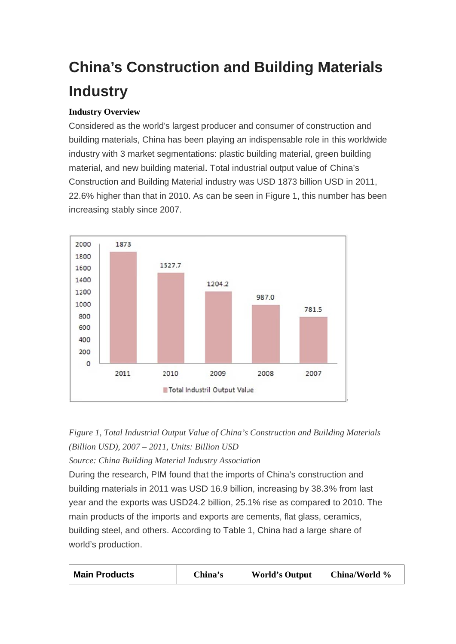# **China's Construction and Building Materials Industry**

## **Industry Overview**

Considered as the world's largest producer and consumer of construction and building materials, China has been playing an indispensable role in this worldwide industry with 3 market segmentations: plastic building material, green building material, and new building material. Total industrial output value of China's Construction and Building Material industry was USD 1873 billion USD in 2011, 22.6% higher than that in 2010. As can be seen in Figure 1, this number has been increasing stably since 2007.





Source: China Building Material Industry Association

During the research, PIM found that the imports of China's construction and building materials in 2011 was USD 16.9 billion, increasing by 38.3% from last year and the exports was USD24.2 billion, 25.1% rise as compared to 2010. The main products of the imports and exports are cements, flat glass, ceramics, building steel, and others. According to Table 1, China had a large share of world's production.

| <b>Main Products</b> | China's | <b>World's Output</b> | China/World % |
|----------------------|---------|-----------------------|---------------|
|----------------------|---------|-----------------------|---------------|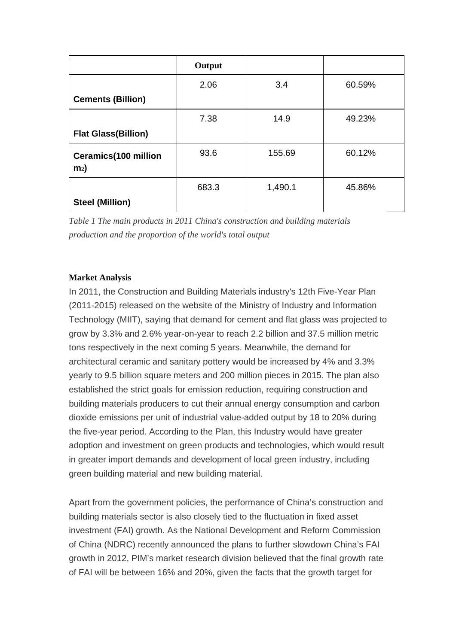|                                               | Output |         |        |
|-----------------------------------------------|--------|---------|--------|
|                                               | 2.06   | 3.4     | 60.59% |
| <b>Cements (Billion)</b>                      |        |         |        |
|                                               | 7.38   | 14.9    | 49.23% |
| <b>Flat Glass(Billion)</b>                    |        |         |        |
| <b>Ceramics(100 million</b><br>m <sub>2</sub> | 93.6   | 155.69  | 60.12% |
|                                               | 683.3  | 1,490.1 | 45.86% |
| <b>Steel (Million)</b>                        |        |         |        |

*Table 1 The main products in 2011 China's construction and building materials production and the proportion of the world's total output*

### **Market Analysis**

In 2011, the Construction and Building Materials industry's 12th Five-Year Plan (2011-2015) released on the website of the Ministry of Industry and Information Technology (MIIT), saying that demand for cement and flat glass was projected to grow by 3.3% and 2.6% year-on-year to reach 2.2 billion and 37.5 million metric tons respectively in the next coming 5 years. Meanwhile, the demand for architectural ceramic and sanitary pottery would be increased by 4% and 3.3% yearly to 9.5 billion square meters and 200 million pieces in 2015. The plan also established the strict goals for emission reduction, requiring construction and building materials producers to cut their annual energy consumption and carbon dioxide emissions per unit of industrial value-added output by 18 to 20% during the five-year period. According to the Plan, this Industry would have greater adoption and investment on green products and technologies, which would result in greater import demands and development of local green industry, including green building material and new building material.

Apart from the government policies, the performance of China's construction and building materials sector is also closely tied to the fluctuation in fixed asset investment (FAI) growth. As the National Development and Reform Commission of China (NDRC) recently announced the plans to further slowdown China's FAI growth in 2012, PIM's market research division believed that the final growth rate of FAI will be between 16% and 20%, given the facts that the growth target for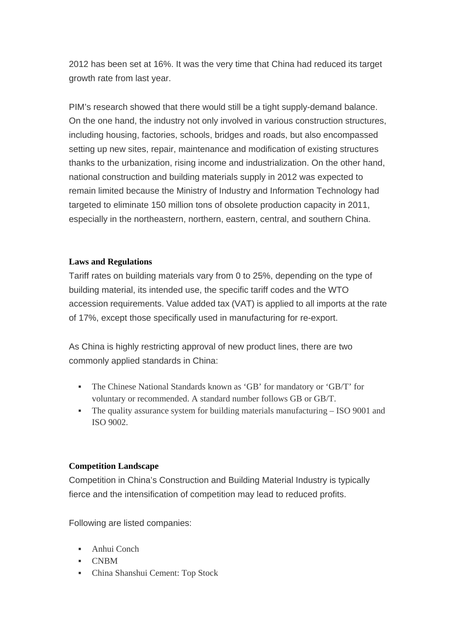2012 has been set at 16%. It was the very time that China had reduced its target growth rate from last year.

PIM's research showed that there would still be a tight supply-demand balance. On the one hand, the industry not only involved in various construction structures, including housing, factories, schools, bridges and roads, but also encompassed setting up new sites, repair, maintenance and modification of existing structures thanks to the urbanization, rising income and industrialization. On the other hand, national construction and building materials supply in 2012 was expected to remain limited because the Ministry of Industry and Information Technology had targeted to eliminate 150 million tons of obsolete production capacity in 2011, especially in the northeastern, northern, eastern, central, and southern China.

### **Laws and Regulations**

Tariff rates on building materials vary from 0 to 25%, depending on the type of building material, its intended use, the specific tariff codes and the WTO accession requirements. Value added tax (VAT) is applied to all imports at the rate of 17%, except those specifically used in manufacturing for re-export.

As China is highly restricting approval of new product lines, there are two commonly applied standards in China:

- The Chinese National Standards known as 'GB' for mandatory or 'GB/T' for voluntary or recommended. A standard number follows GB or GB/T.
- The quality assurance system for building materials manufacturing ISO 9001 and ISO 9002.

### **Competition Landscape**

Competition in China's Construction and Building Material Industry is typically fierce and the intensification of competition may lead to reduced profits.

Following are listed companies:

- $Anhui Conch$
- $\blacksquare$  CNRM
- China Shanshui Cement: Top Stock